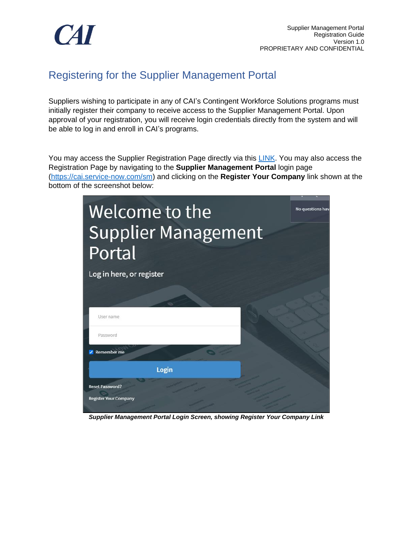

## Registering for the Supplier Management Portal

Suppliers wishing to participate in any of CAI's Contingent Workforce Solutions programs must initially register their company to receive access to the Supplier Management Portal. Upon approval of your registration, you will receive login credentials directly from the system and will be able to log in and enroll in CAI's programs.

You may access the Supplier Registration Page directly via this **LINK**. You may also access the Registration Page by navigating to the **Supplier Management Portal** login page [\(https://cai.service-now.com/sm\)](https://cai.service-now.com/sm) and clicking on the **Register Your Company** link shown at the bottom of the screenshot below:



*Supplier Management Portal Login Screen, showing Register Your Company Link*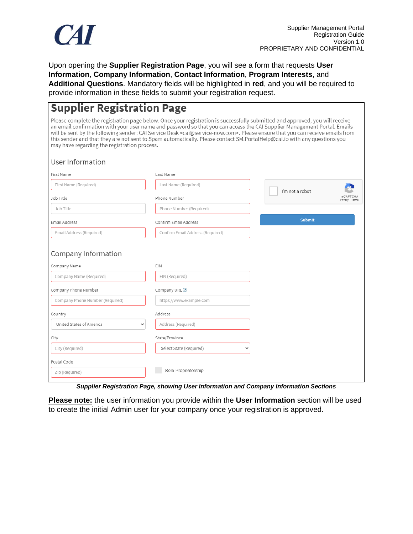

Upon opening the **Supplier Registration Page**, you will see a form that requests **User Information**, **Company Information**, **Contact Information**, **Program Interests**, and **Additional Questions**. Mandatory fields will be highlighted in **red**, and you will be required to provide information in these fields to submit your registration request.

## **Supplier Registration Page**

Please complete the registration page below. Once your registration is successfully submitted and approved, you will receive an email confirmation with your user name and password so that you can access the CAI Supplier Management Portal. Emails will be sent by the following sender: CAI Service Desk <cai@service-now.com>. Please ensure that you can receive emails from this sender and that they are not sent to Spam automatically. Please contact SM.PortalHelp@cai.io with any questions you may have regarding the registration process.

## User Information

| First Name                               | Last Name                               |                                    |
|------------------------------------------|-----------------------------------------|------------------------------------|
| First Name (Required)                    | Last Name (Required)                    |                                    |
| Job Title                                | Phone Number                            | I'm not a robot<br>Privacy - Terms |
| Job Title                                | Phone Number (Required)                 |                                    |
| Email Address                            | Confirm Email Address                   | <b>Submit</b>                      |
| Email Address (Required)                 | Confirm Email Address (Required)        |                                    |
| Company Information                      |                                         |                                    |
| Company Name                             | EIN                                     |                                    |
| Company Name (Required)                  | EIN (Required)                          |                                    |
| Company Phone Number                     | Company URL ?                           |                                    |
| Company Phone Number (Required)          | https://www.example.com                 |                                    |
| Country                                  | Address                                 |                                    |
| United States of America<br>$\checkmark$ | Address (Required)                      |                                    |
| City                                     | State/Province                          |                                    |
| City (Required)                          | Select State (Required)<br>$\checkmark$ |                                    |
| Postal Code                              |                                         |                                    |
| Zip (Required)                           | Sole Proprietorship                     |                                    |

*Supplier Registration Page, showing User Information and Company Information Sections*

**Please note:** the user information you provide within the **User Information** section will be used to create the initial Admin user for your company once your registration is approved.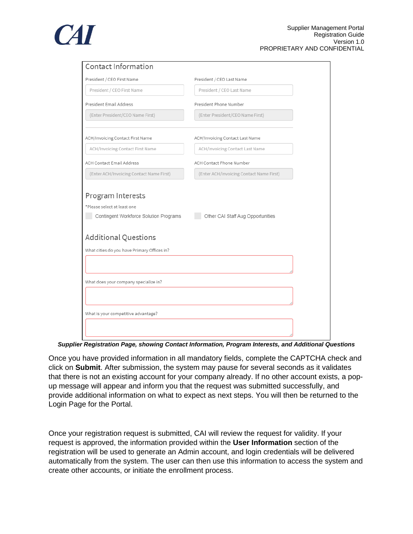

| <b>Contact Information</b>                                                                 |                                          |  |  |
|--------------------------------------------------------------------------------------------|------------------------------------------|--|--|
| President / CEO First Name                                                                 | President / CEO Last Name                |  |  |
| President / CEO First Name                                                                 | President / CEO Last Name                |  |  |
| President Email Address                                                                    | President Phone Number                   |  |  |
| (Enter President/CEO Name First)                                                           | (Enter President/CEO Name First)         |  |  |
| ACH/Invoicing Contact First Name                                                           | ACH/Invoicing Contact Last Name          |  |  |
| ACH/Invoicing Contact First Name                                                           | ACH/Invoicing Contact Last Name          |  |  |
| <b>ACH Contact Email Address</b>                                                           | ACH Contact Phone Number                 |  |  |
| (Enter ACH/Invoicing Contact Name First)                                                   | (Enter ACH/Invoicing Contact Name First) |  |  |
| Program Interests<br>*Please select at least one<br>Contingent Workforce Solution Programs | Other CAI Staff Aug Opportunities        |  |  |
| <b>Additional Questions</b>                                                                |                                          |  |  |
| What cities do you have Primary Offices in?                                                |                                          |  |  |
|                                                                                            |                                          |  |  |
| What does your company specialize in?                                                      |                                          |  |  |
|                                                                                            |                                          |  |  |
| What is your competitive advantage?                                                        |                                          |  |  |
|                                                                                            |                                          |  |  |

*Supplier Registration Page, showing Contact Information, Program Interests, and Additional Questions*

Once you have provided information in all mandatory fields, complete the CAPTCHA check and click on **Submit**. After submission, the system may pause for several seconds as it validates that there is not an existing account for your company already. If no other account exists, a popup message will appear and inform you that the request was submitted successfully, and provide additional information on what to expect as next steps. You will then be returned to the Login Page for the Portal.

Once your registration request is submitted, CAI will review the request for validity. If your request is approved, the information provided within the **User Information** section of the registration will be used to generate an Admin account, and login credentials will be delivered automatically from the system. The user can then use this information to access the system and create other accounts, or initiate the enrollment process.